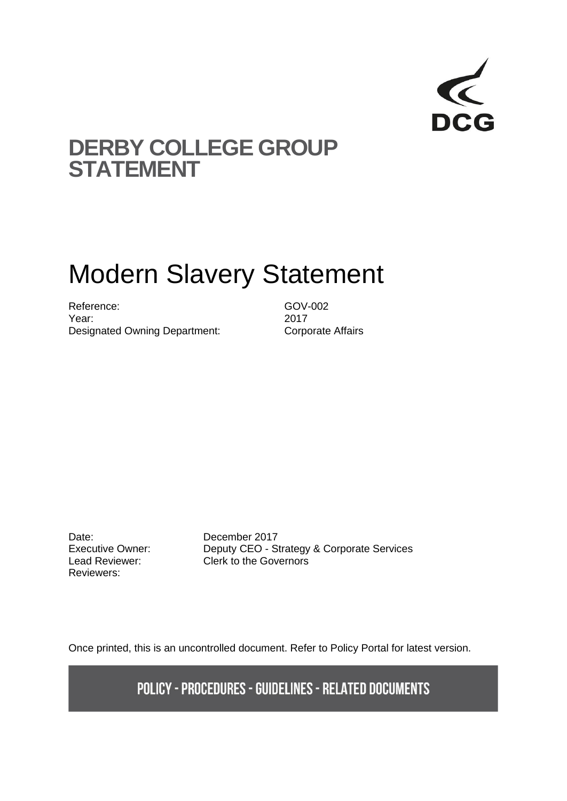

## **DERBY COLLEGE GROUP STATEMENT**

# Modern Slavery Statement

Reference: GOV-002 Year: 2017 Designated Owning Department: Corporate Affairs

Date: December 2017 Reviewers:

Executive Owner: Deputy CEO - Strategy & Corporate Services Lead Reviewer: Clerk to the Governors

Once printed, this is an uncontrolled document. Refer to Policy Portal for latest version.

**POLICY - PROCEDURES - GUIDELINES - RELATED DOCUMENTS**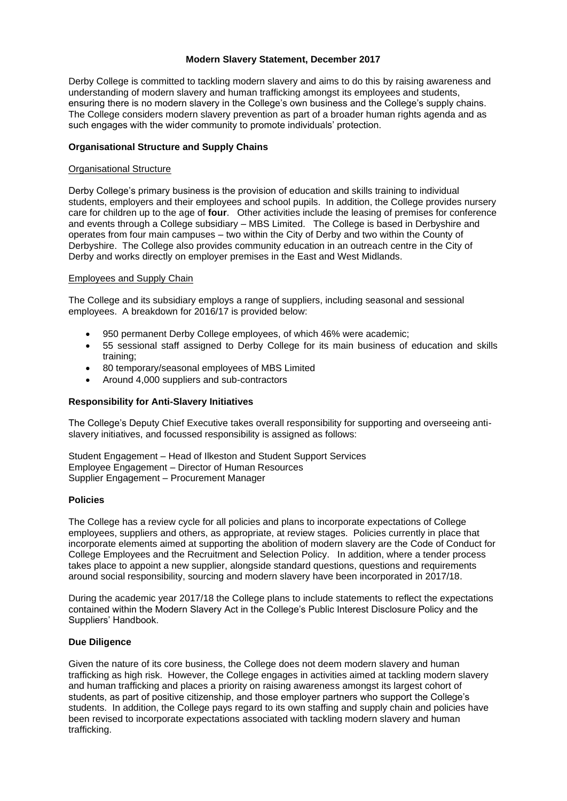#### **Modern Slavery Statement, December 2017**

Derby College is committed to tackling modern slavery and aims to do this by raising awareness and understanding of modern slavery and human trafficking amongst its employees and students, ensuring there is no modern slavery in the College's own business and the College's supply chains. The College considers modern slavery prevention as part of a broader human rights agenda and as such engages with the wider community to promote individuals' protection.

#### **Organisational Structure and Supply Chains**

#### Organisational Structure

Derby College's primary business is the provision of education and skills training to individual students, employers and their employees and school pupils. In addition, the College provides nursery care for children up to the age of **four**. Other activities include the leasing of premises for conference and events through a College subsidiary – MBS Limited. The College is based in Derbyshire and operates from four main campuses – two within the City of Derby and two within the County of Derbyshire. The College also provides community education in an outreach centre in the City of Derby and works directly on employer premises in the East and West Midlands.

#### Employees and Supply Chain

The College and its subsidiary employs a range of suppliers, including seasonal and sessional employees. A breakdown for 2016/17 is provided below:

- 950 permanent Derby College employees, of which 46% were academic;
- 55 sessional staff assigned to Derby College for its main business of education and skills training;
- 80 temporary/seasonal employees of MBS Limited
- Around 4,000 suppliers and sub-contractors

#### **Responsibility for Anti-Slavery Initiatives**

The College's Deputy Chief Executive takes overall responsibility for supporting and overseeing antislavery initiatives, and focussed responsibility is assigned as follows:

Student Engagement – Head of Ilkeston and Student Support Services Employee Engagement – Director of Human Resources Supplier Engagement – Procurement Manager

#### **Policies**

The College has a review cycle for all policies and plans to incorporate expectations of College employees, suppliers and others, as appropriate, at review stages. Policies currently in place that incorporate elements aimed at supporting the abolition of modern slavery are the Code of Conduct for College Employees and the Recruitment and Selection Policy. In addition, where a tender process takes place to appoint a new supplier, alongside standard questions, questions and requirements around social responsibility, sourcing and modern slavery have been incorporated in 2017/18.

During the academic year 2017/18 the College plans to include statements to reflect the expectations contained within the Modern Slavery Act in the College's Public Interest Disclosure Policy and the Suppliers' Handbook.

#### **Due Diligence**

Given the nature of its core business, the College does not deem modern slavery and human trafficking as high risk. However, the College engages in activities aimed at tackling modern slavery and human trafficking and places a priority on raising awareness amongst its largest cohort of students, as part of positive citizenship, and those employer partners who support the College's students. In addition, the College pays regard to its own staffing and supply chain and policies have been revised to incorporate expectations associated with tackling modern slavery and human trafficking.